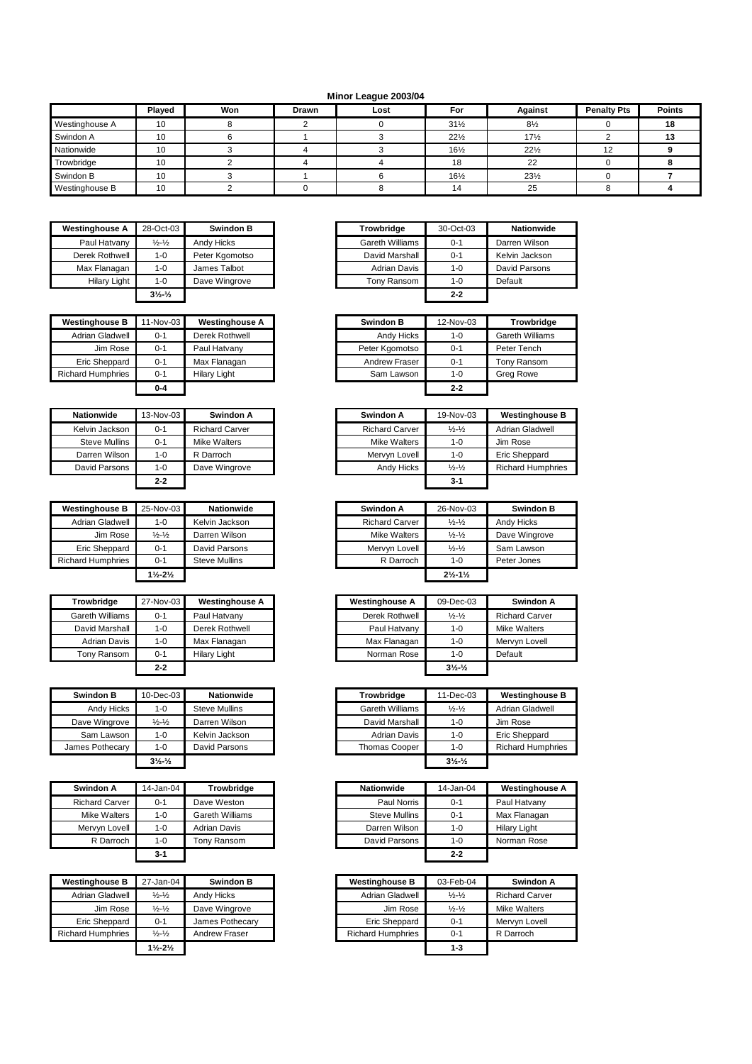## **Minor League 2003/04**

|                | <b>Played</b> | Won | <b>Drawn</b> | Lost | For             | Against         | <b>Penalty Pts</b> | <b>Points</b> |
|----------------|---------------|-----|--------------|------|-----------------|-----------------|--------------------|---------------|
| Westinghouse A | 10            |     |              |      | $31\frac{1}{2}$ | $8\frac{1}{2}$  |                    | 18            |
| Swindon A      | 10            |     |              |      | $22\frac{1}{2}$ | $17\frac{1}{2}$ |                    |               |
| Nationwide     | 10            |     |              |      | $16\frac{1}{2}$ | $22\frac{1}{2}$ | 12                 |               |
| Trowbridge     | 10            |     |              |      | 18              | 22              |                    |               |
| Swindon B      | 10            |     |              |      | $16\frac{1}{2}$ | $23\frac{1}{2}$ |                    |               |
| Westinghouse B | 10            |     |              |      | 14              | 25              |                    |               |

| <b>Westinghouse A</b> | 28-Oct-03                    | <b>Swindon B</b> | Trowbridge          | 30-Oct-03 |         |
|-----------------------|------------------------------|------------------|---------------------|-----------|---------|
| Paul Hatvany          | $\frac{1}{2} - \frac{1}{2}$  | Andy Hicks       | Gareth Williams     | $0 - 1$   | Darren  |
| Derek Rothwell        | 1-0                          | Peter Kgomotso   | David Marshall      | $0 - 1$   | Kelvin  |
| Max Flanagan          | 1-0                          | James Talbot     | <b>Adrian Davis</b> | $1 - 0$   | David I |
| Hilary Light          | 1-0                          | Dave Wingrove    | Tony Ransom         | $1 - 0$   | Default |
|                       | $3\frac{1}{2}$ $\frac{1}{2}$ |                  |                     | $2 - 2$   |         |

| <b>Westinghouse B</b>    | 1-Nov-03 | <b>Westinghouse A</b> | <b>Swindon B</b> | 12-Nov-03 |
|--------------------------|----------|-----------------------|------------------|-----------|
| Adrian Gladwell          | $0 - 1$  | Derek Rothwell        | Andy Hicks       | $1 - 0$   |
| Jim Rose                 | $0 - 1$  | Paul Hatvany          | Peter Kgomotso   | $0 - 1$   |
| Eric Sheppard            | $0 - 1$  | Max Flanagan          | Andrew Fraser    | $0 - 1$   |
| <b>Richard Humphries</b> | $0 - 1$  | <b>Hilary Light</b>   | Sam Lawson       | $1 - 0$   |
|                          | $0 - 4$  |                       |                  | $2 - 2$   |

| <b>Nationwide</b>    | 13-Nov-03 | Swindon A             |
|----------------------|-----------|-----------------------|
| Kelvin Jackson       | $0 - 1$   | <b>Richard Carver</b> |
| <b>Steve Mullins</b> | $0 - 1$   | <b>Mike Walters</b>   |
| Darren Wilson        | 1-0       | R Darroch             |
| David Parsons        | 1-0       | Dave Wingrove         |
|                      | $2 - 2$   |                       |

| <b>Westinghouse B</b>    | 25-Nov-03                     | <b>Nationwide</b>    | Swindon A             | 26-Nov-03                     |
|--------------------------|-------------------------------|----------------------|-----------------------|-------------------------------|
| <b>Adrian Gladwell</b>   | $1 - 0$                       | Kelvin Jackson       | <b>Richard Carver</b> | $\frac{1}{2} - \frac{1}{2}$   |
| Jim Rose                 | $\frac{1}{2} - \frac{1}{2}$   | Darren Wilson        | Mike Walters          | $\frac{1}{2} - \frac{1}{2}$   |
| Eric Sheppard            | $0 - 1$                       | David Parsons        | Mervvn Lovell         | $\frac{1}{2} - \frac{1}{2}$   |
| <b>Richard Humphries</b> | $0 - 1$                       | <b>Steve Mullins</b> | R Darroch             | $1 - 0$                       |
|                          | $1\frac{1}{2} - 2\frac{1}{2}$ |                      |                       | $2\frac{1}{2} - 1\frac{1}{2}$ |

| Trowbridge      | 27-Nov-03 | <b>Westinghouse A</b> | <b>Westinghouse A</b> | 09-Dec-03                      |         |
|-----------------|-----------|-----------------------|-----------------------|--------------------------------|---------|
| Gareth Williams | $0 - 1$   | Paul Hatvany          | Derek Rothwell        | $\frac{1}{2} - \frac{1}{2}$    | Richard |
| David Marshall  | 1-0       | Derek Rothwell        | Paul Hatvany          | $1 - 0$                        | Mike W  |
| Adrian Davis    | 1-0       | Max Flanagan          | Max Flanagan          | $1 - 0$                        | Mervyr  |
| Tony Ransom     | $0 - 1$   | <b>Hilary Light</b>   | Norman Rose           | $1 - 0$                        | Default |
|                 | $2-2$     |                       |                       | $3\frac{1}{2}$ - $\frac{1}{2}$ |         |

| <b>Swindon B</b> | 10-Dec-03                     | <b>Nationwide</b>    | <b>Trowbridge</b>   | 11-Dec-03                   |
|------------------|-------------------------------|----------------------|---------------------|-----------------------------|
| Andy Hicks       | $1 - 0$                       | <b>Steve Mullins</b> | Gareth Williams     | $\frac{1}{2} - \frac{1}{2}$ |
| Dave Wingrove    | $\frac{1}{2}$ - $\frac{1}{2}$ | Darren Wilson        | David Marshall      | $1 - 0$                     |
| Sam Lawson       | $1 - 0$                       | Kelvin Jackson       | <b>Adrian Davis</b> | $1 - 0$                     |
| James Pothecary  | $1 - 0$                       | David Parsons        | Thomas Cooper       | $1 - 0$                     |
|                  | $3\frac{1}{2}$ $\frac{1}{2}$  |                      |                     | $3\frac{1}{2}\frac{1}{2}$   |

| Swindon A             | 14-Jan-04 | Trowbridge             |
|-----------------------|-----------|------------------------|
| <b>Richard Carver</b> | $0 - 1$   | Dave Weston            |
| Mike Walters          | $1 - 0$   | <b>Gareth Williams</b> |
| Mervyn Lovell         | $1 - 0$   | <b>Adrian Davis</b>    |
| R Darroch             | $1 - 0$   | <b>Tony Ransom</b>     |
|                       | $3-1$     |                        |

| <b>Westinghouse B</b>    | 27-Jan-04                     | Swindon B       | <b>Westinghouse B</b>    | 03-Feb-04                   | Swin             |
|--------------------------|-------------------------------|-----------------|--------------------------|-----------------------------|------------------|
| Adrian Gladwell          | $\frac{1}{2}$ - $\frac{1}{2}$ | Andy Hicks      | Adrian Gladwell          | $\frac{1}{2} - \frac{1}{2}$ | <b>Richard C</b> |
| Jim Rose                 | $\frac{1}{2} - \frac{1}{2}$   | Dave Wingrove   | Jim Rose                 | $\frac{1}{2} - \frac{1}{2}$ | Mike Walt        |
| Eric Sheppard            | $0 - 1$                       | James Pothecarv | Eric Sheppard            | $0 - 1$                     | Mervyn Lo        |
| <b>Richard Humphries</b> | $\frac{1}{2} - \frac{1}{2}$   | Andrew Fraser   | <b>Richard Humphries</b> | $0 - 1$                     | R Darroch        |
|                          | $1\frac{1}{2} - 2\frac{1}{2}$ |                 |                          | $1 - 3$                     |                  |

| <b>Westinghouse A</b> | 28-Oct-03                    | <b>Swindon B</b> | <b>Trowbridge</b>   | 30-Oct-03 | <b>Nationwide</b> |
|-----------------------|------------------------------|------------------|---------------------|-----------|-------------------|
| Paul Hatvany          | $\frac{1}{2} - \frac{1}{2}$  | Andy Hicks       | Gareth Williams     | $0 - 1$   | Darren Wilson     |
| Derek Rothwell        | $1 - 0$                      | Peter Kgomotso   | David Marshall      | $0 - 1$   | Kelvin Jackson    |
| Max Flanagan          | 1-0                          | James Talbot     | <b>Adrian Davis</b> | $1 - 0$   | David Parsons     |
| <b>Hilary Light</b>   | $1 - 0$                      | Dave Wingrove    | Tony Ransom         | $1 - 0$   | Default           |
|                       | $3\frac{1}{2}$ $\frac{1}{2}$ |                  |                     | $2 - 2$   |                   |

| <b>Westinghouse B</b> | 11-Nov-03 | <b>Westinghouse A</b> |
|-----------------------|-----------|-----------------------|
| Adrian Gladwell       | $0 - 1$   | Derek Rothwell        |
| Jim Rose              | $0 - 1$   | Paul Hatvany          |
| Eric Sheppard         | $0 - 1$   | Max Flanagan          |
| Richard Humphries     | $0 - 1$   | <b>Hilary Light</b>   |
|                       | $0 - 4$   |                       |

| <b>Nationwide</b>    | 13-Nov-03 | Swindon A             | Swindon A             | 19-Nov-03                   | <b>Westinghouse B</b>    |
|----------------------|-----------|-----------------------|-----------------------|-----------------------------|--------------------------|
| Kelvin Jackson       | $0 - 1$   | <b>Richard Carver</b> | <b>Richard Carver</b> | $\frac{1}{2} - \frac{1}{2}$ | <b>Adrian Gladwell</b>   |
| <b>Steve Mullins</b> | $0 - 1$   | <b>Mike Walters</b>   | Mike Walters          | $1 - 0$                     | Jim Rose                 |
| Darren Wilson        | $1 - 0$   | R Darroch             | Mervyn Lovell         | 1-0                         | <b>Eric Sheppard</b>     |
| David Parsons        | $1 - 0$   | Dave Wingrove         | Andy Hicks            | $\frac{1}{2} - \frac{1}{2}$ | <b>Richard Humphries</b> |
|                      | $2 - 2$   |                       |                       | 3-1                         |                          |

| <b>Westinghouse B</b> | 25-Nov-03                     | <b>Nationwide</b>    | Swindon A             | 26-Nov-03                     | <b>Swindon B</b> |
|-----------------------|-------------------------------|----------------------|-----------------------|-------------------------------|------------------|
| Adrian Gladwell       | $1 - 0$                       | Kelvin Jackson       | <b>Richard Carver</b> | $\frac{1}{2} - \frac{1}{2}$   | Andy Hicks       |
| Jim Rose              | $\frac{1}{2} - \frac{1}{2}$   | Darren Wilson        | Mike Walters          | $\frac{1}{2} - \frac{1}{2}$   | Dave Wingrove    |
| Eric Sheppard         | $0 - 1$                       | David Parsons        | Mervvn Lovell         | $\frac{1}{2} - \frac{1}{2}$   | Sam Lawson       |
| Richard Humphries     | $0 - 1$                       | <b>Steve Mullins</b> | R Darroch             | $1 - 0$                       | Peter Jones      |
|                       | $1\frac{1}{2} - 2\frac{1}{2}$ |                      |                       | $2\frac{1}{2} - 1\frac{1}{2}$ |                  |

| <b>Trowbridge</b>   | 27-Nov-03 | <b>Westinghouse A</b> |
|---------------------|-----------|-----------------------|
| Gareth Williams     | $0 - 1$   | Paul Hatvany          |
| David Marshall      | $1 - 0$   | Derek Rothwell        |
| <b>Adrian Davis</b> | $1 - 0$   | Max Flanagan          |
| Tony Ransom         | $0 - 1$   | <b>Hilary Light</b>   |
|                     | $2 - 2$   |                       |

| <b>Swindon B</b> | 10-Dec-03                     | <b>Nationwide</b>    | Trowbridae           | 11-Dec-03                    | <b>Westinghouse B</b>    |
|------------------|-------------------------------|----------------------|----------------------|------------------------------|--------------------------|
| Andy Hicks       | $1 - 0$                       | <b>Steve Mullins</b> | Gareth Williams      | $\frac{1}{2} - \frac{1}{2}$  | Adrian Gladwell          |
| Dave Wingrove    | $\frac{1}{2}$ - $\frac{1}{2}$ | Darren Wilson        | David Marshall       | $1 - 0$                      | Jim Rose                 |
| Sam Lawson       | $1 - 0$                       | Kelvin Jackson       | <b>Adrian Davis</b>  | $1 - 0$                      | <b>Eric Sheppard</b>     |
| James Pothecary  | $1 - 0$                       | David Parsons        | <b>Thomas Cooper</b> | $1 - 0$                      | <b>Richard Humphries</b> |
|                  | $3\frac{1}{2}$ $\frac{1}{2}$  |                      |                      | $3\frac{1}{2}$ $\frac{1}{2}$ |                          |

| Swindon A             | 14-Jan-04 | Trowbridge          |
|-----------------------|-----------|---------------------|
| <b>Richard Carver</b> | $0 - 1$   | Dave Weston         |
| Mike Walters          | $1 - 0$   | Gareth Williams     |
| Mervvn Lovell         | 1-0       | <b>Adrian Davis</b> |
| R Darroch             | $1 - 0$   | Tonv Ransom         |
|                       | $3 - 1$   |                     |

| <b>Westinghouse B</b> | 27-Jan-04                     | <b>Swindon B</b> | <b>Westinghouse B</b>    | 03-Feb-04                   | Swindon A             |
|-----------------------|-------------------------------|------------------|--------------------------|-----------------------------|-----------------------|
| Adrian Gladwell       | $\frac{1}{2} - \frac{1}{2}$   | Andy Hicks       | Adrian Gladwell          | $\frac{1}{2} - \frac{1}{2}$ | <b>Richard Carver</b> |
| Jim Rose              | $\frac{1}{2} - \frac{1}{2}$   | Dave Wingrove    | Jim Rose                 | $\frac{1}{2} - \frac{1}{2}$ | <b>Mike Walters</b>   |
| Eric Sheppard         | $0 - 1$                       | James Pothecary  | <b>Eric Sheppard</b>     | $0 - 1$                     | Mervyn Lovell         |
| Richard Humphries     | $\frac{1}{2} - \frac{1}{2}$   | Andrew Fraser    | <b>Richard Humphries</b> | 0-1                         | R Darroch             |
|                       | $1\frac{1}{2} - 2\frac{1}{2}$ |                  |                          | $1 - 3$                     |                       |